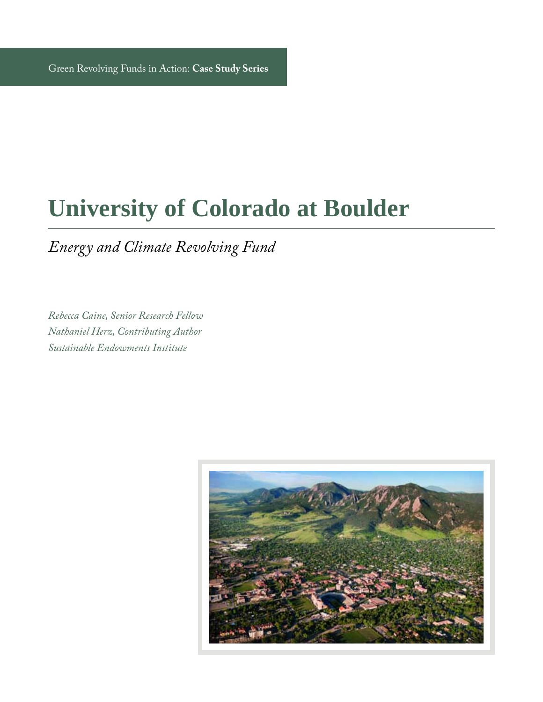### **University of Colorado at Boulder**

*Energy and Climate Revolving Fund*

*Rebecca Caine, Senior Research Fellow Nathaniel Herz, Contributing Author Sustainable Endowments Institute*

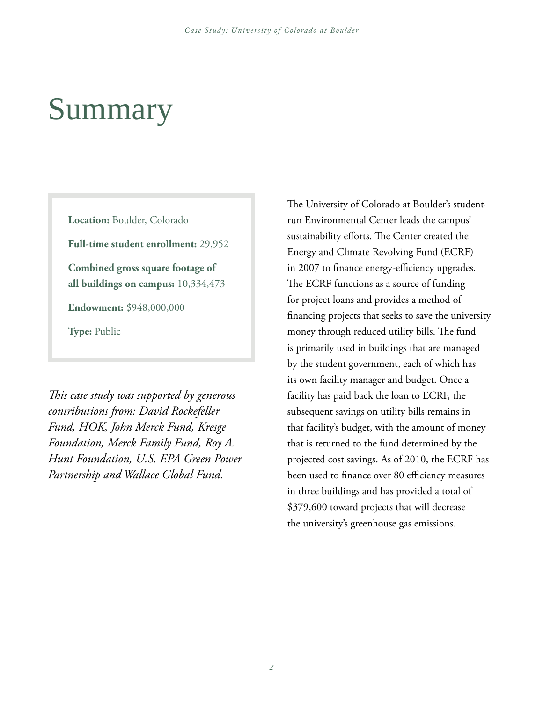### Summary

**Location:** Boulder, Colorado

**Full-time student enrollment:** 29,952

**Combined gross square footage of all buildings on campus:** 10,334,473

**Endowment:** \$948,000,000

**Type:** Public

*This case study was supported by generous contributions from: David Rockefeller Fund, HOK, John Merck Fund, Kresge Foundation, Merck Family Fund, Roy A. Hunt Foundation, U.S. EPA Green Power Partnership and Wallace Global Fund.*

The University of Colorado at Boulder's studentrun Environmental Center leads the campus' sustainability efforts. The Center created the Energy and Climate Revolving Fund (ECRF) in 2007 to finance energy-efficiency upgrades. The ECRF functions as a source of funding for project loans and provides a method of financing projects that seeks to save the university money through reduced utility bills. The fund is primarily used in buildings that are managed by the student government, each of which has its own facility manager and budget. Once a facility has paid back the loan to ECRF, the subsequent savings on utility bills remains in that facility's budget, with the amount of money that is returned to the fund determined by the projected cost savings. As of 2010, the ECRF has been used to finance over 80 efficiency measures in three buildings and has provided a total of \$379,600 toward projects that will decrease the university's greenhouse gas emissions.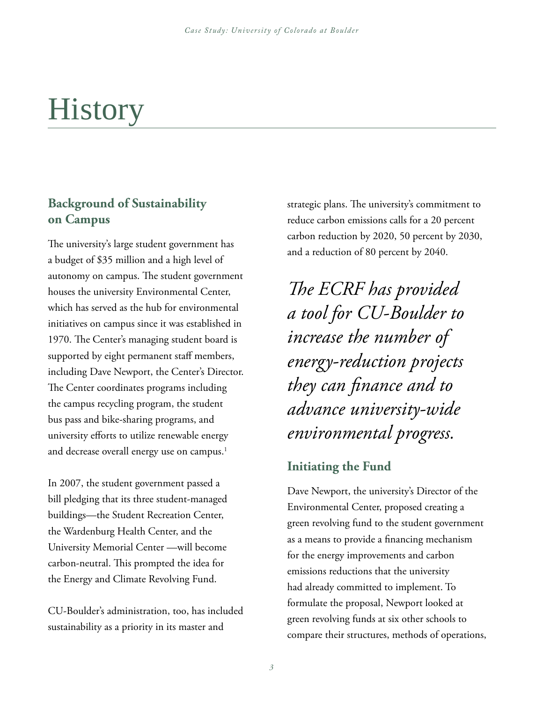## **History**

#### **Background of Sustainability on Campus**

The university's large student government has a budget of \$35 million and a high level of autonomy on campus. The student government houses the university Environmental Center, which has served as the hub for environmental initiatives on campus since it was established in 1970. The Center's managing student board is supported by eight permanent staff members, including Dave Newport, the Center's Director. The Center coordinates programs including the campus recycling program, the student bus pass and bike-sharing programs, and university efforts to utilize renewable energy and decrease overall energy use on campus.<sup>1</sup>

In 2007, the student government passed a bill pledging that its three student-managed buildings—the Student Recreation Center, the Wardenburg Health Center, and the University Memorial Center —will become carbon-neutral. This prompted the idea for the Energy and Climate Revolving Fund.

CU-Boulder's administration, too, has included sustainability as a priority in its master and

strategic plans. The university's commitment to reduce carbon emissions calls for a 20 percent carbon reduction by 2020, 50 percent by 2030, and a reduction of 80 percent by 2040.

*The ECRF has provided a tool for CU-Boulder to increase the number of energy-reduction projects they can finance and to advance university-wide environmental progress.*

#### **Initiating the Fund**

Dave Newport, the university's Director of the Environmental Center, proposed creating a green revolving fund to the student government as a means to provide a financing mechanism for the energy improvements and carbon emissions reductions that the university had already committed to implement. To formulate the proposal, Newport looked at green revolving funds at six other schools to compare their structures, methods of operations,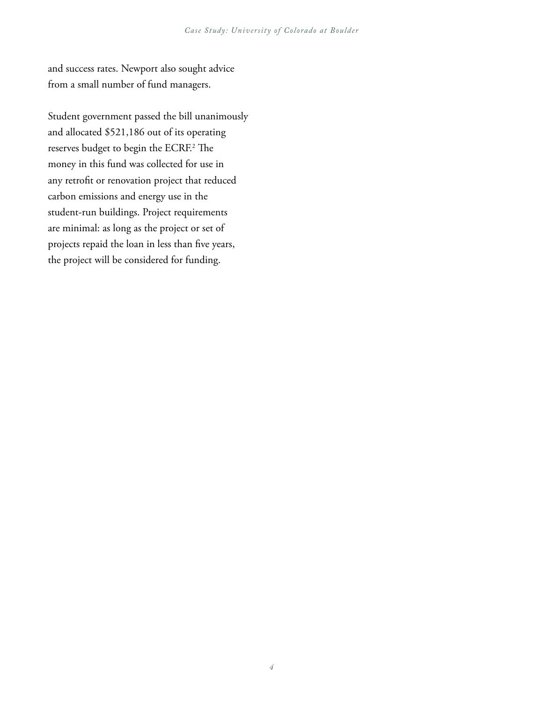and success rates. Newport also sought advice from a small number of fund managers.

Student government passed the bill unanimously and allocated \$521,186 out of its operating reserves budget to begin the ECRF.2 The money in this fund was collected for use in any retrofit or renovation project that reduced carbon emissions and energy use in the student-run buildings. Project requirements are minimal: as long as the project or set of projects repaid the loan in less than five years, the project will be considered for funding.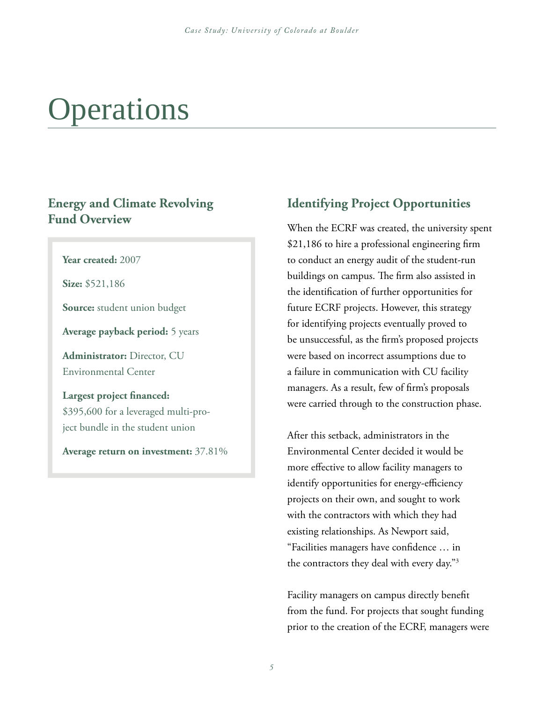# perations

#### **Energy and Climate Revolving Fund Overview**

**Year created:** 2007

**Size:** \$521,186

**Source:** student union budget

**Average payback period:** 5 years

**Administrator:** Director, CU Environmental Center

**Largest project financed:** \$395,600 for a leveraged multi-project bundle in the student union

**Average return on investment:** 37.81%

#### **Identifying Project Opportunities**

When the ECRF was created, the university spent \$21,186 to hire a professional engineering firm to conduct an energy audit of the student-run buildings on campus. The firm also assisted in the identification of further opportunities for future ECRF projects. However, this strategy for identifying projects eventually proved to be unsuccessful, as the firm's proposed projects were based on incorrect assumptions due to a failure in communication with CU facility managers. As a result, few of firm's proposals were carried through to the construction phase.

After this setback, administrators in the Environmental Center decided it would be more effective to allow facility managers to identify opportunities for energy-efficiency projects on their own, and sought to work with the contractors with which they had existing relationships. As Newport said, "Facilities managers have confidence … in the contractors they deal with every day."3

Facility managers on campus directly benefit from the fund. For projects that sought funding prior to the creation of the ECRF, managers were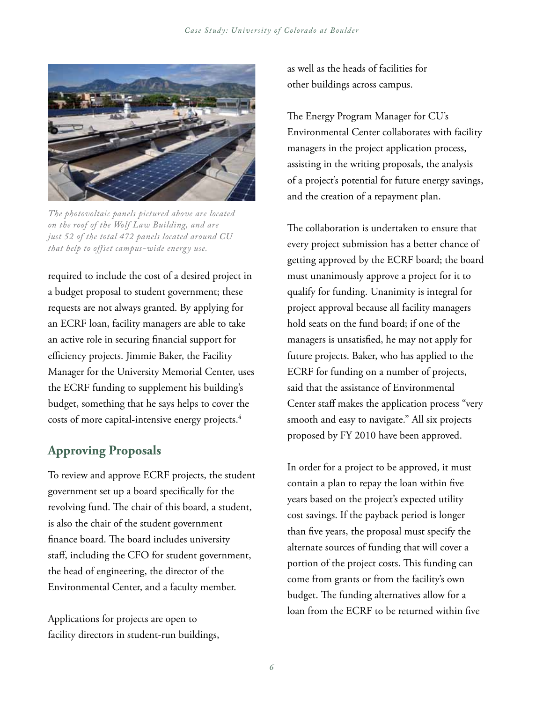

*The photovoltaic panels pictured above are located on the roof of the Wolf Law Building, and are just 52 of the total 472 panels located around CU that help to offset campus-wide energy use.*

required to include the cost of a desired project in a budget proposal to student government; these requests are not always granted. By applying for an ECRF loan, facility managers are able to take an active role in securing financial support for efficiency projects. Jimmie Baker, the Facility Manager for the University Memorial Center, uses the ECRF funding to supplement his building's budget, something that he says helps to cover the costs of more capital-intensive energy projects.4

#### **Approving Proposals**

To review and approve ECRF projects, the student government set up a board specifically for the revolving fund. The chair of this board, a student, is also the chair of the student government finance board. The board includes university staff, including the CFO for student government, the head of engineering, the director of the Environmental Center, and a faculty member.

Applications for projects are open to facility directors in student-run buildings, as well as the heads of facilities for other buildings across campus.

The Energy Program Manager for CU's Environmental Center collaborates with facility managers in the project application process, assisting in the writing proposals, the analysis of a project's potential for future energy savings, and the creation of a repayment plan.

The collaboration is undertaken to ensure that every project submission has a better chance of getting approved by the ECRF board; the board must unanimously approve a project for it to qualify for funding. Unanimity is integral for project approval because all facility managers hold seats on the fund board; if one of the managers is unsatisfied, he may not apply for future projects. Baker, who has applied to the ECRF for funding on a number of projects, said that the assistance of Environmental Center staff makes the application process "very smooth and easy to navigate." All six projects proposed by FY 2010 have been approved.

In order for a project to be approved, it must contain a plan to repay the loan within five years based on the project's expected utility cost savings. If the payback period is longer than five years, the proposal must specify the alternate sources of funding that will cover a portion of the project costs. This funding can come from grants or from the facility's own budget. The funding alternatives allow for a loan from the ECRF to be returned within five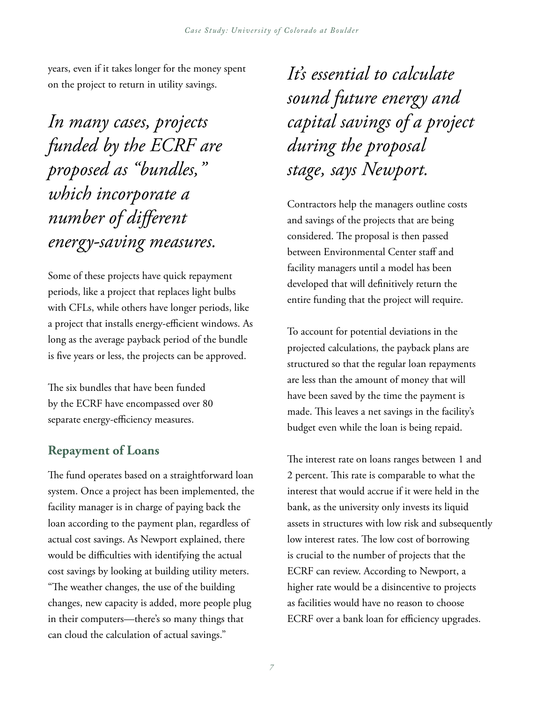years, even if it takes longer for the money spent on the project to return in utility savings.

*In many cases, projects funded by the ECRF are proposed as "bundles," which incorporate a number of different energy-saving measures.*

Some of these projects have quick repayment periods, like a project that replaces light bulbs with CFLs, while others have longer periods, like a project that installs energy-efficient windows. As long as the average payback period of the bundle is five years or less, the projects can be approved.

The six bundles that have been funded by the ECRF have encompassed over 80 separate energy-efficiency measures.

#### **Repayment of Loans**

The fund operates based on a straightforward loan system. Once a project has been implemented, the facility manager is in charge of paying back the loan according to the payment plan, regardless of actual cost savings. As Newport explained, there would be difficulties with identifying the actual cost savings by looking at building utility meters. "The weather changes, the use of the building changes, new capacity is added, more people plug in their computers—there's so many things that can cloud the calculation of actual savings."

*It's essential to calculate sound future energy and capital savings of a project during the proposal stage, says Newport.*

Contractors help the managers outline costs and savings of the projects that are being considered. The proposal is then passed between Environmental Center staff and facility managers until a model has been developed that will definitively return the entire funding that the project will require.

To account for potential deviations in the projected calculations, the payback plans are structured so that the regular loan repayments are less than the amount of money that will have been saved by the time the payment is made. This leaves a net savings in the facility's budget even while the loan is being repaid.

The interest rate on loans ranges between 1 and 2 percent. This rate is comparable to what the interest that would accrue if it were held in the bank, as the university only invests its liquid assets in structures with low risk and subsequently low interest rates. The low cost of borrowing is crucial to the number of projects that the ECRF can review. According to Newport, a higher rate would be a disincentive to projects as facilities would have no reason to choose ECRF over a bank loan for efficiency upgrades.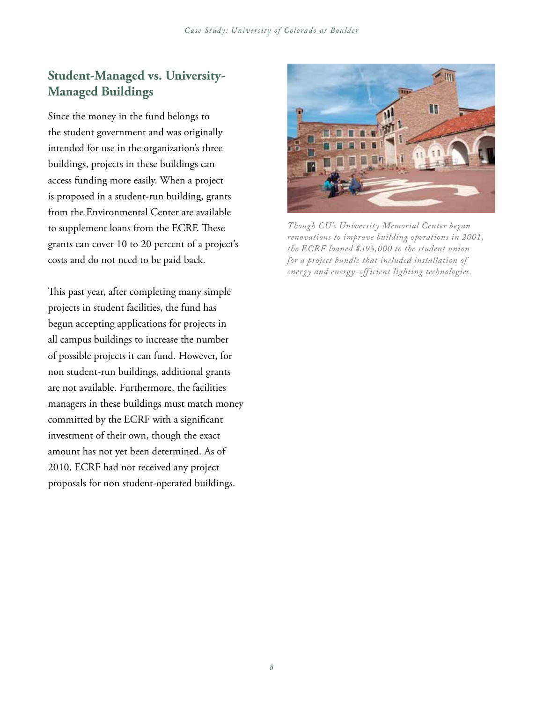#### **Student-Managed vs. University-Managed Buildings**

Since the money in the fund belongs to the student government and was originally intended for use in the organization's three buildings, projects in these buildings can access funding more easily. When a project is proposed in a student-run building, grants from the Environmental Center are available to supplement loans from the ECRF. These grants can cover 10 to 20 percent of a project's costs and do not need to be paid back.

This past year, after completing many simple projects in student facilities, the fund has begun accepting applications for projects in all campus buildings to increase the number of possible projects it can fund. However, for non student-run buildings, additional grants are not available. Furthermore, the facilities managers in these buildings must match money committed by the ECRF with a significant investment of their own, though the exact amount has not yet been determined. As of 2010, ECRF had not received any project proposals for non student-operated buildings.



*Though CU 's University Memorial Center began renovations to improve building operations in 2001, the ECRF loaned \$395,000 to the student union for a project bundle that included installation of energy and energy-efficient lighting technologies.*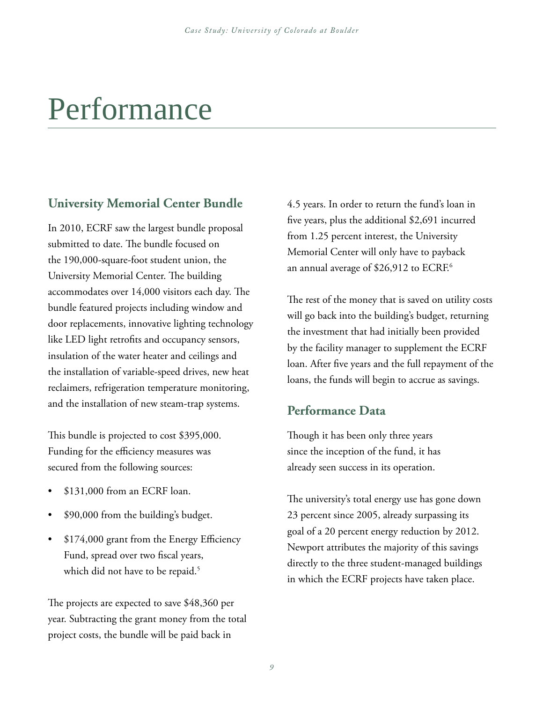### Performance

#### **University Memorial Center Bundle**

In 2010, ECRF saw the largest bundle proposal submitted to date. The bundle focused on the 190,000-square-foot student union, the University Memorial Center. The building accommodates over 14,000 visitors each day. The bundle featured projects including window and door replacements, innovative lighting technology like LED light retrofits and occupancy sensors, insulation of the water heater and ceilings and the installation of variable-speed drives, new heat reclaimers, refrigeration temperature monitoring, and the installation of new steam-trap systems.

This bundle is projected to cost \$395,000. Funding for the efficiency measures was secured from the following sources:

- $$131,000$  from an ECRF loan.
- \$90,000 from the building's budget.
- \$174,000 grant from the Energy Efficiency Fund, spread over two fiscal years, which did not have to be repaid.<sup>5</sup>

The projects are expected to save \$48,360 per year. Subtracting the grant money from the total project costs, the bundle will be paid back in

4.5 years. In order to return the fund's loan in five years, plus the additional \$2,691 incurred from 1.25 percent interest, the University Memorial Center will only have to payback an annual average of \$26,912 to ECRF.<sup>6</sup>

The rest of the money that is saved on utility costs will go back into the building's budget, returning the investment that had initially been provided by the facility manager to supplement the ECRF loan. After five years and the full repayment of the loans, the funds will begin to accrue as savings.

#### **Performance Data**

Though it has been only three years since the inception of the fund, it has already seen success in its operation.

The university's total energy use has gone down 23 percent since 2005, already surpassing its goal of a 20 percent energy reduction by 2012. Newport attributes the majority of this savings directly to the three student-managed buildings in which the ECRF projects have taken place.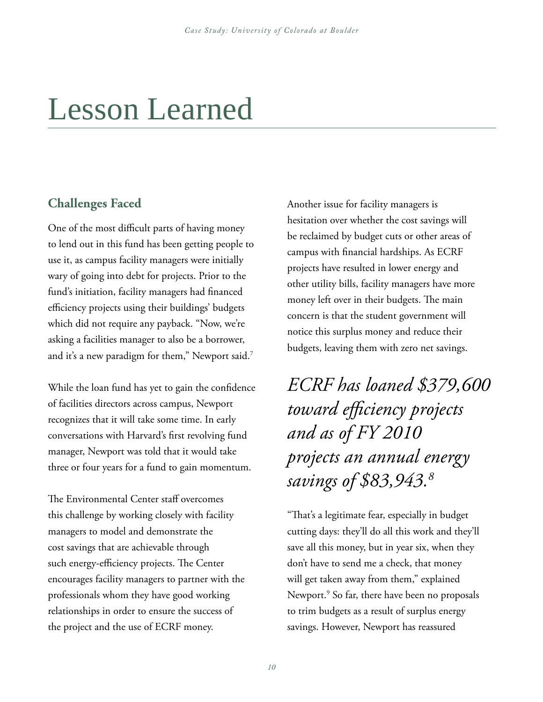### Lesson Learned

#### **Challenges Faced**

One of the most difficult parts of having money to lend out in this fund has been getting people to use it, as campus facility managers were initially wary of going into debt for projects. Prior to the fund's initiation, facility managers had financed efficiency projects using their buildings' budgets which did not require any payback. "Now, we're asking a facilities manager to also be a borrower, and it's a new paradigm for them," Newport said.<sup>7</sup>

While the loan fund has yet to gain the confidence of facilities directors across campus, Newport recognizes that it will take some time. In early conversations with Harvard's first revolving fund manager, Newport was told that it would take three or four years for a fund to gain momentum.

The Environmental Center staff overcomes this challenge by working closely with facility managers to model and demonstrate the cost savings that are achievable through such energy-efficiency projects. The Center encourages facility managers to partner with the professionals whom they have good working relationships in order to ensure the success of the project and the use of ECRF money.

Another issue for facility managers is hesitation over whether the cost savings will be reclaimed by budget cuts or other areas of campus with financial hardships. As ECRF projects have resulted in lower energy and other utility bills, facility managers have more money left over in their budgets. The main concern is that the student government will notice this surplus money and reduce their budgets, leaving them with zero net savings.

*ECRF has loaned \$379,600 toward efficiency projects and as of FY 2010 projects an annual energy savings of \$83,943.8*

"That's a legitimate fear, especially in budget cutting days: they'll do all this work and they'll save all this money, but in year six, when they don't have to send me a check, that money will get taken away from them," explained Newport.9 So far, there have been no proposals to trim budgets as a result of surplus energy savings. However, Newport has reassured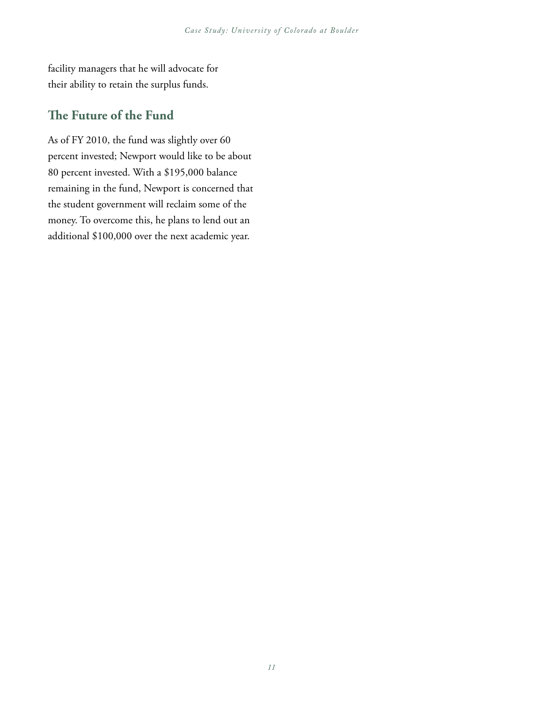facility managers that he will advocate for their ability to retain the surplus funds.

#### **The Future of the Fund**

As of FY 2010, the fund was slightly over 60 percent invested; Newport would like to be about 80 percent invested. With a \$195,000 balance remaining in the fund, Newport is concerned that the student government will reclaim some of the money. To overcome this, he plans to lend out an additional \$100,000 over the next academic year.